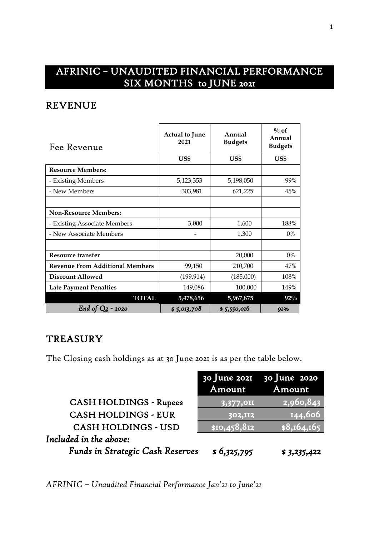# AFRINIC – UNAUDITED FINANCIAL PERFORMANCE SIX MONTHS to JUNE 2021

#### REVENUE

| Fee Revenue                            | <b>Actual to June</b><br>2021 | Annual<br><b>Budgets</b> | $\%$ of<br>Annual<br><b>Budgets</b> |
|----------------------------------------|-------------------------------|--------------------------|-------------------------------------|
|                                        | US\$                          | US\$                     | US\$                                |
| <b>Resource Members:</b>               |                               |                          |                                     |
| - Existing Members                     | 5,123,353                     | 5,198,050                | 99%                                 |
| - New Members                          | 303,981                       | 621,225                  | 45%                                 |
|                                        |                               |                          |                                     |
| <b>Non-Resource Members:</b>           |                               |                          |                                     |
| - Existing Associate Members           | 3,000                         | 1,600                    | 188%                                |
| - New Associate Members                |                               | 1,300                    | $0\%$                               |
|                                        |                               |                          |                                     |
| Resource transfer                      |                               | 20,000                   | 0%                                  |
| <b>Revenue From Additional Members</b> | 99,150                        | 210,700                  | 47%                                 |
| <b>Discount Allowed</b>                | (199, 914)                    | (185,000)                | 108%                                |
| <b>Late Payment Penalties</b>          | 149,086                       | 100,000                  | 149%                                |
| <b>TOTAL</b>                           | 5,478,656                     | 5,967,875                | $92\%$                              |
| End of $Q_2$ - 2020                    | \$5,013,708                   | \$5,550,016              | <b>91%</b>                          |

### **TREASURY**

The Closing cash holdings as at 30 June 2021 is as per the table below.

|                                         | Amount         | 30 June 2021 30 June 2020<br>Amount |
|-----------------------------------------|----------------|-------------------------------------|
|                                         |                |                                     |
| <b>CASH HOLDINGS - Rupees</b>           | 3,377,011      | $\overline{ 2,960,843}^{\parallel}$ |
| <b>CASH HOLDINGS - EUR</b>              | <b>302,II2</b> | 144,606                             |
| <b>CASH HOLDINGS - USD</b>              | \$10,458,812   | \$8,164,165                         |
| Included in the above:                  |                |                                     |
| <b>Funds in Strategic Cash Reserves</b> | \$6,325,795    | \$3,235,422                         |

*AFRINIC – Unaudited Financial Performance Jan'21 to June'21*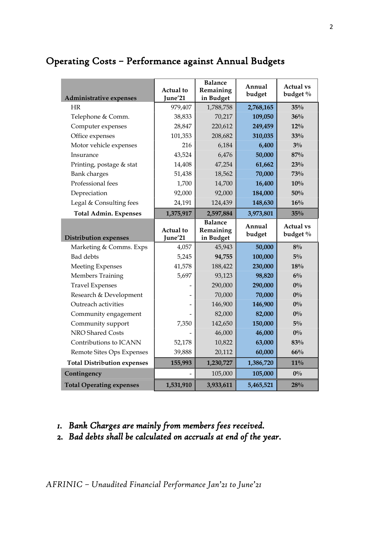## Operating Costs – Performance against Annual Budgets

| <b>Administrative expenses</b>              | <b>Actual</b> to<br>June'21 | <b>Balance</b><br>Remaining<br>in Budget | Annual<br>budget   | <b>Actual vs</b><br>budget % |
|---------------------------------------------|-----------------------------|------------------------------------------|--------------------|------------------------------|
| HR                                          | 979,407                     | 1,788,758                                | 2,768,165          | 35%                          |
| Telephone & Comm.                           | 38,833                      | 70,217                                   | 109,050            | 36%                          |
| Computer expenses                           | 28,847                      | 220,612                                  | 249,459            | 12%                          |
| Office expenses                             | 101,353                     | 208,682                                  | 310,035            | 33%                          |
| Motor vehicle expenses                      | 216                         | 6,184                                    | 6,400              | $3\%$                        |
| Insurance                                   | 43,524                      | 6,476                                    | 50,000             | 87%                          |
| Printing, postage & stat                    | 14,408                      | 47,254                                   | 61,662             | 23%                          |
| <b>Bank</b> charges                         | 51,438                      | 18,562                                   | 70,000             | 73%                          |
| Professional fees                           | 1,700                       | 14,700                                   | 16,400             | 10%                          |
| Depreciation                                | 92,000                      | 92,000                                   | 184,000            | 50%                          |
| Legal & Consulting fees                     | 24,191                      | 124,439                                  | 148,630            | 16%                          |
| <b>Total Admin. Expenses</b>                | 1,375,917                   | 2,597,884                                | 3,973,801          | 35%                          |
|                                             | <b>Actual</b> to            | <b>Balance</b><br>Remaining              | Annual<br>budget   | <b>Actual vs</b><br>budget % |
|                                             |                             |                                          |                    |                              |
| <b>Distribution expenses</b>                | June'21                     | in Budget                                |                    |                              |
| Marketing & Comms. Exps                     | 4,057                       | 45,943                                   | 50,000             | $8\%$                        |
| <b>Bad</b> debts                            | 5,245<br>41,578             | 94,755<br>188,422                        | 100,000<br>230,000 | $5\%$<br>18%                 |
| <b>Meeting Expenses</b><br>Members Training | 5,697                       | 93,123                                   | 98,820             | $6\%$                        |
| <b>Travel Expenses</b>                      |                             | 290,000                                  | 290,000            | $0\%$                        |
| Research & Development                      |                             | 70,000                                   | 70,000             | $0\%$                        |
| Outreach activities                         |                             | 146,900                                  | 146,900            | $0\%$                        |
| Community engagement                        |                             | 82,000                                   | 82,000             | $0\%$                        |
| Community support                           | 7,350                       | 142,650                                  | 150,000            | $5\%$                        |
| NRO Shared Costs                            |                             | 46,000                                   | 46,000             | $0\%$                        |
| Contributions to ICANN                      | 52,178                      | 10,822                                   | 63,000             | 83%                          |
| Remote Sites Ops Expenses                   | 39,888                      | 20,112                                   | 60,000             | 66%                          |
| <b>Total Distribution expenses</b>          | 155,993                     | 1,230,727                                | 1,386,720          | $11\%$                       |
| Contingency                                 |                             | 105,000                                  | 105,000            | $0\%$                        |

#### *1. Bank Charges are mainly from members fees received.*

*2. Bad debts shall be calculated on accruals at end of the year.*